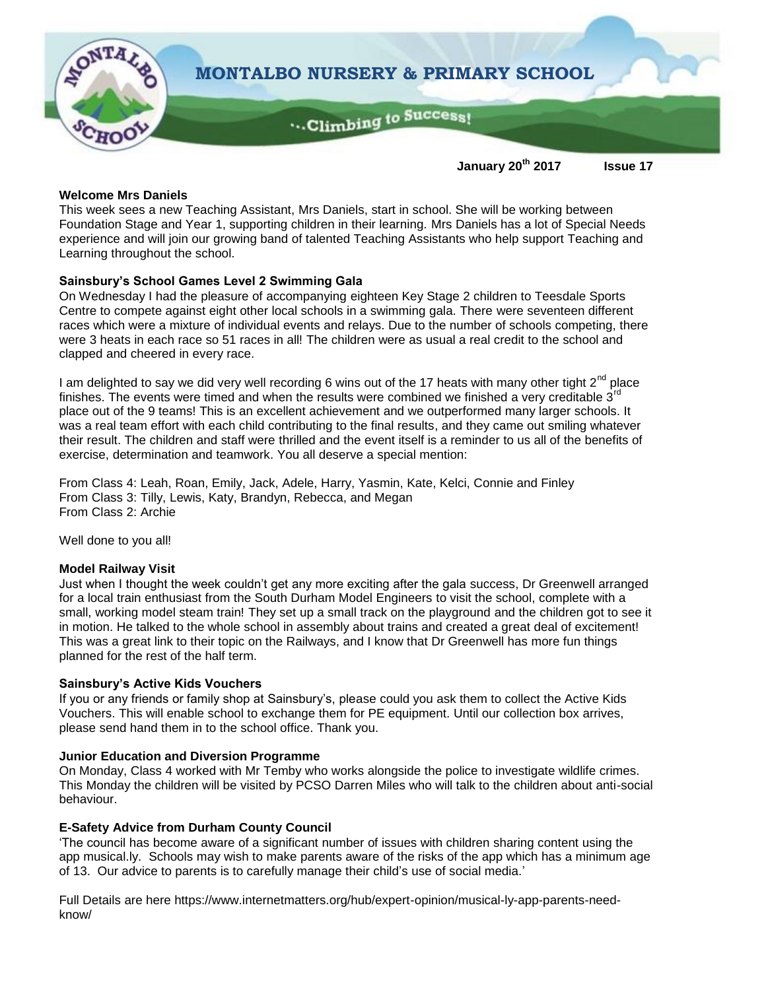

## **January 20th 2017 Issue 17**

## **Welcome Mrs Daniels**

This week sees a new Teaching Assistant, Mrs Daniels, start in school. She will be working between Foundation Stage and Year 1, supporting children in their learning. Mrs Daniels has a lot of Special Needs experience and will join our growing band of talented Teaching Assistants who help support Teaching and Learning throughout the school.

## **Sainsbury's School Games Level 2 Swimming Gala**

On Wednesday I had the pleasure of accompanying eighteen Key Stage 2 children to Teesdale Sports Centre to compete against eight other local schools in a swimming gala. There were seventeen different races which were a mixture of individual events and relays. Due to the number of schools competing, there were 3 heats in each race so 51 races in all! The children were as usual a real credit to the school and clapped and cheered in every race.

I am delighted to say we did very well recording 6 wins out of the 17 heats with many other tight  $2^{nd}$  place finishes. The events were timed and when the results were combined we finished a very creditable  $3<sup>n</sup>$ place out of the 9 teams! This is an excellent achievement and we outperformed many larger schools. It was a real team effort with each child contributing to the final results, and they came out smiling whatever their result. The children and staff were thrilled and the event itself is a reminder to us all of the benefits of exercise, determination and teamwork. You all deserve a special mention:

From Class 4: Leah, Roan, Emily, Jack, Adele, Harry, Yasmin, Kate, Kelci, Connie and Finley From Class 3: Tilly, Lewis, Katy, Brandyn, Rebecca, and Megan From Class 2: Archie

Well done to you all!

## **Model Railway Visit**

Just when I thought the week couldn't get any more exciting after the gala success, Dr Greenwell arranged for a local train enthusiast from the South Durham Model Engineers to visit the school, complete with a small, working model steam train! They set up a small track on the playground and the children got to see it in motion. He talked to the whole school in assembly about trains and created a great deal of excitement! This was a great link to their topic on the Railways, and I know that Dr Greenwell has more fun things planned for the rest of the half term.

## **Sainsbury's Active Kids Vouchers**

If you or any friends or family shop at Sainsbury's, please could you ask them to collect the Active Kids Vouchers. This will enable school to exchange them for PE equipment. Until our collection box arrives, please send hand them in to the school office. Thank you.

## **Junior Education and Diversion Programme**

On Monday, Class 4 worked with Mr Temby who works alongside the police to investigate wildlife crimes. This Monday the children will be visited by PCSO Darren Miles who will talk to the children about anti-social behaviour.

## **E-Safety Advice from Durham County Council**

'The council has become aware of a significant number of issues with children sharing content using the app musical.ly. Schools may wish to make parents aware of the risks of the app which has a minimum age of 13. Our advice to parents is to carefully manage their child's use of social media.'

Full Details are here https://www.internetmatters.org/hub/expert-opinion/musical-ly-app-parents-needknow/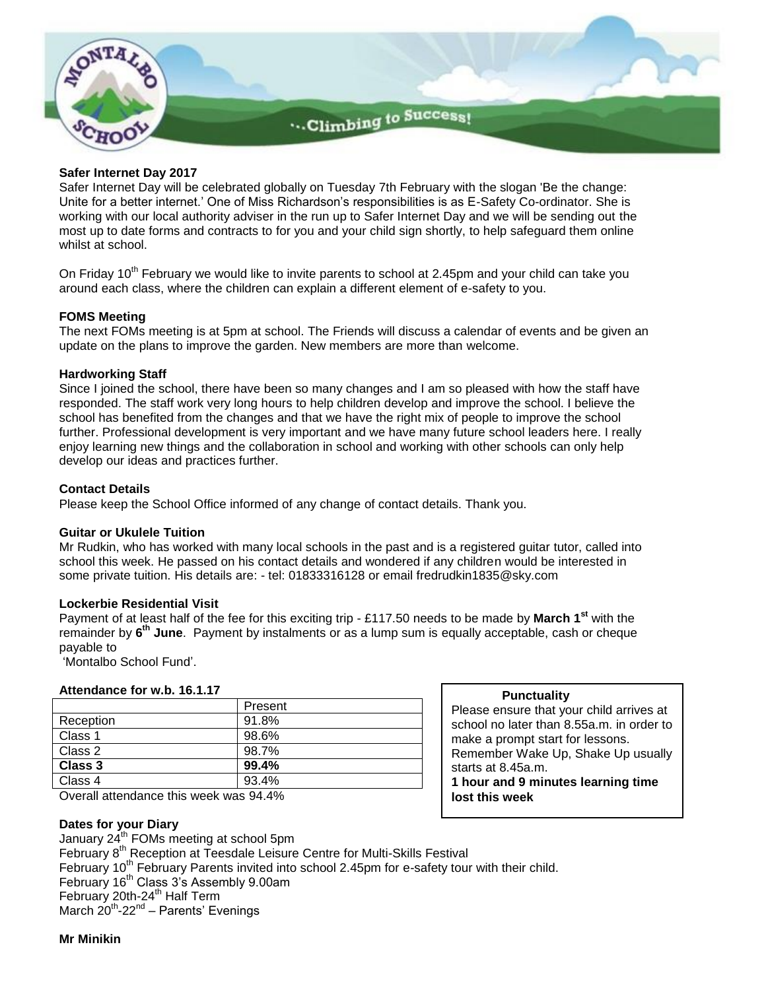

## **Safer Internet Day 2017**

Safer Internet Day will be celebrated globally on Tuesday 7th February with the slogan 'Be the change: Unite for a better internet.' One of Miss Richardson's responsibilities is as E-Safety Co-ordinator. She is working with our local authority adviser in the run up to Safer Internet Day and we will be sending out the most up to date forms and contracts to for you and your child sign shortly, to help safeguard them online whilst at school.

On Friday 10<sup>th</sup> February we would like to invite parents to school at 2.45pm and your child can take you around each class, where the children can explain a different element of e-safety to you.

#### **FOMS Meeting**

The next FOMs meeting is at 5pm at school. The Friends will discuss a calendar of events and be given an update on the plans to improve the garden. New members are more than welcome.

#### **Hardworking Staff**

Since I joined the school, there have been so many changes and I am so pleased with how the staff have responded. The staff work very long hours to help children develop and improve the school. I believe the school has benefited from the changes and that we have the right mix of people to improve the school further. Professional development is very important and we have many future school leaders here. I really enjoy learning new things and the collaboration in school and working with other schools can only help develop our ideas and practices further.

#### **Contact Details**

Please keep the School Office informed of any change of contact details. Thank you.

#### **Guitar or Ukulele Tuition**

Mr Rudkin, who has worked with many local schools in the past and is a registered guitar tutor, called into school this week. He passed on his contact details and wondered if any children would be interested in some private tuition. His details are: - tel: 01833316128 or email fredrudkin1835@sky.com

#### **Lockerbie Residential Visit**

Payment of at least half of the fee for this exciting trip - £117.50 needs to be made by **March 1st** with the remainder by **6 th June**. Payment by instalments or as a lump sum is equally acceptable, cash or cheque payable to

'Montalbo School Fund'.

#### **Attendance for w.b. 16.1.17**

|           | Present |
|-----------|---------|
| Reception | 91.8%   |
| Class 1   | 98.6%   |
| Class 2   | 98.7%   |
| Class 3   | 99.4%   |
| Class 4   | 93.4%   |
|           |         |

Overall attendance this week was 94.4%

## **Dates for your Diary**

January 24<sup>th</sup> FOMs meeting at school 5pm February 8<sup>th</sup> Reception at Teesdale Leisure Centre for Multi-Skills Festival February 10<sup>th</sup> February Parents invited into school 2.45pm for e-safety tour with their child. February 16<sup>th</sup> Class 3's Assembly 9.00am February 20th-24<sup>th</sup> Half Term March 20<sup>th</sup>-22<sup>nd</sup> – Parents' Evenings

#### **Mr Minikin**

# **Punctuality**

Please ensure that your child arrives at school no later than 8.55a.m. in order to make a prompt start for lessons. Remember Wake Up, Shake Up usually starts at 8.45a.m.

**1 hour and 9 minutes learning time lost this week**